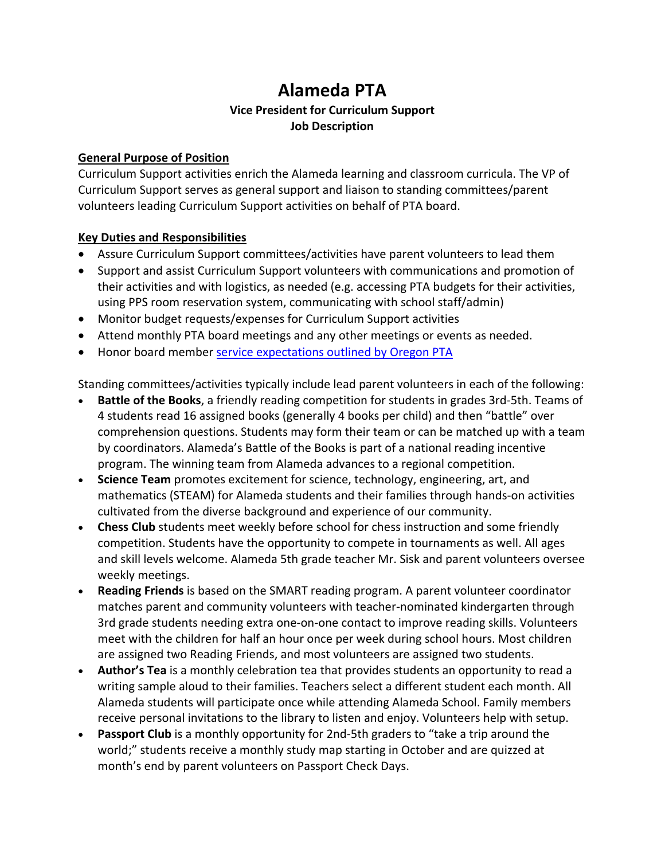## **Alameda PTA Vice President for Curriculum Support Job Description**

## **General Purpose of Position**

Curriculum Support activities enrich the Alameda learning and classroom curricula. The VP of Curriculum Support serves as general support and liaison to standing committees/parent volunteers leading Curriculum Support activities on behalf of PTA board.

## **Key Duties and Responsibilities**

- Assure Curriculum Support committees/activities have parent volunteers to lead them
- Support and assist Curriculum Support volunteers with communications and promotion of their activities and with logistics, as needed (e.g. accessing PTA budgets for their activities, using PPS room reservation system, communicating with school staff/admin)
- Monitor budget requests/expenses for Curriculum Support activities
- Attend monthly PTA board meetings and any other meetings or events as needed.
- Honor board member [service expectations outlined by](https://www.oregonpta.org/assets/pages/files/Full_Officers_Manual_2017.pdf) Oregon PTA

Standing committees/activities typically include lead parent volunteers in each of the following:

- **Battle of the Books**, a friendly reading competition for students in grades 3rd-5th. Teams of 4 students read 16 assigned books (generally 4 books per child) and then "battle" over comprehension questions. Students may form their team or can be matched up with a team by coordinators. Alameda's Battle of the Books is part of a national reading incentive program. The winning team from Alameda advances to a regional competition.
- **Science Team** promotes excitement for science, technology, engineering, art, and mathematics (STEAM) for Alameda students and their families through hands-on activities cultivated from the diverse background and experience of our community.
- **Chess Club** students meet weekly before school for chess instruction and some friendly competition. Students have the opportunity to compete in tournaments as well. All ages and skill levels welcome. Alameda 5th grade teacher [Mr. Sisk](mailto:bsisk@pps.net) and parent volunteers oversee weekly meetings.
- **Reading Friends** is based on the SMART reading program. A parent volunteer coordinator matches parent and community volunteers with teacher-nominated kindergarten through 3rd grade students needing extra one-on-one contact to improve reading skills. Volunteers meet with the children for half an hour once per week during school hours. Most children are assigned two Reading Friends, and most volunteers are assigned two students.
- **Author's Tea** is a monthly celebration tea that provides students an opportunity to read a writing sample aloud to their families. Teachers select a different student each month. All Alameda students will participate once while attending Alameda School. Family members receive personal invitations to the library to listen and enjoy. Volunteers help with setup.
- **Passport Club** is a monthly opportunity for 2nd-5th graders to "take a trip around the world;" students receive a monthly study map starting in October and are quizzed at month's end by parent volunteers on Passport Check Days.